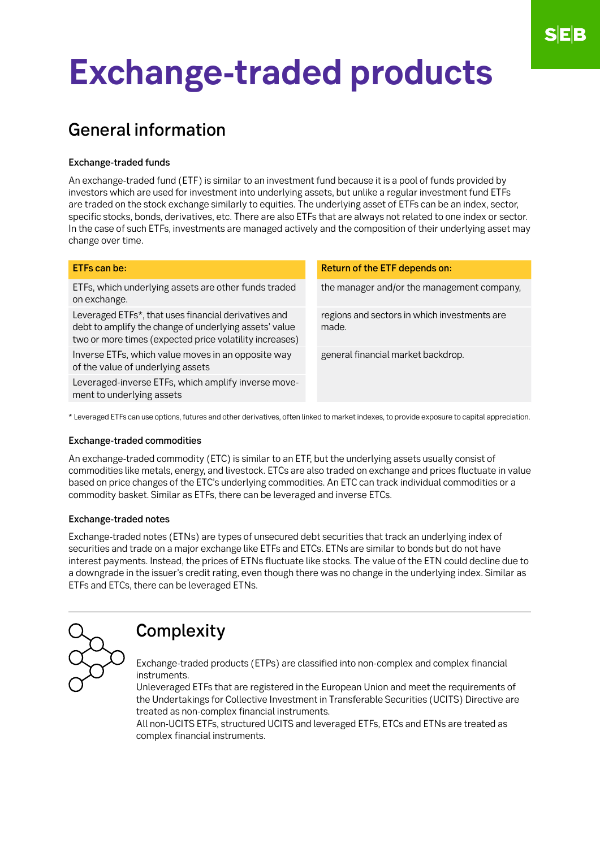# **Exchange-traded products**

## General information

#### Exchange-traded funds

An exchange-traded fund (ETF) is similar to an investment fund because it is a pool of funds provided by investors which are used for investment into underlying assets, but unlike a regular investment fund ETFs are traded on the stock exchange similarly to equities. The underlying asset of ETFs can be an index, sector, specific stocks, bonds, derivatives, etc. There are also ETFs that are always not related to one index or sector. In the case of such ETFs, investments are managed actively and the composition of their underlying asset may change over time.

| ETFs can be:                                                                                                                                                              | Return of the ETF depends on:                         |
|---------------------------------------------------------------------------------------------------------------------------------------------------------------------------|-------------------------------------------------------|
| ETFs, which underlying assets are other funds traded<br>on exchange.                                                                                                      | the manager and/or the management company,            |
| Leveraged ETFs*, that uses financial derivatives and<br>debt to amplify the change of underlying assets' value<br>two or more times (expected price volatility increases) | regions and sectors in which investments are<br>made. |
| Inverse ETFs, which value moves in an opposite way<br>of the value of underlying assets                                                                                   | general financial market backdrop.                    |
| Leveraged-inverse ETFs, which amplify inverse move-<br>ment to underlying assets                                                                                          |                                                       |
| * Leveraged ETFs can use options, futures and other derivatives, often linked to market indexes, to provide exposure to capital appreciation.                             |                                                       |

#### Exchange-traded commodities

An exchange-traded commodity (ETC) is similar to an ETF, but the underlying assets usually consist of commodities like metals, energy, and livestock. ETCs are also traded on exchange and prices fluctuate in value based on price changes of the ETC's underlying commodities. An ETC can track individual commodities or a commodity basket. Similar as ETFs, there can be leveraged and inverse ETCs.

#### Exchange-traded notes

Exchange-traded notes (ETNs) are types of unsecured debt securities that track an underlying index of securities and trade on a major exchange like ETFs and ETCs. ETNs are similar to bonds but do not have interest payments. Instead, the prices of ETNs fluctuate like stocks. The value of the ETN could decline due to a downgrade in the issuer's credit rating, even though there was no change in the underlying index. Similar as ETFs and ETCs, there can be leveraged ETNs.



## **Complexity**

Exchange-traded products (ETPs) are classified into non-complex and complex financial **instruments** 

Unleveraged ETFs that are registered in the European Union and meet the requirements of the Undertakings for Collective Investment in Transferable Securities (UCITS) Directive are treated as non-complex financial instruments.

All non-UCITS ETFs, structured UCITS and leveraged ETFs, ETCs and ETNs are treated as complex financial instruments.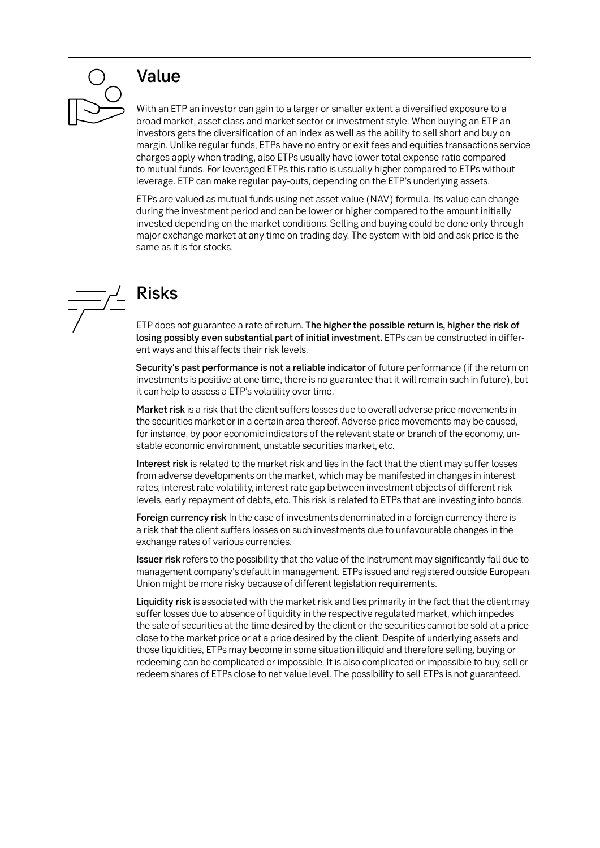

### Value

With an ETP an investor can gain to a larger or smaller extent a diversified exposure to a broad market, asset class and market sector or investment style. When buying an ETP an investors gets the diversification of an index as well as the ability to sell short and buy on margin. Unlike regular funds, ETPs have no entry or exit fees and equities transactions service charges apply when trading, also ETPs usually have lower total expense ratio compared to mutual funds. For leveraged ETPs this ratio is ussually higher compared to ETPs without leverage. ETP can make regular pay-outs, depending on the ETP's underlying assets.

ETPs are valued as mutual funds using net asset value (NAV) formula. Its value can change during the investment period and can be lower or higher compared to the amount initially invested depending on the market conditions. Selling and buying could be done only through major exchange market at any time on trading day. The system with bid and ask price is the same as it is for stocks.



## Risks

ETP does not guarantee a rate of return. The higher the possible return is, higher the risk of losing possibly even substantial part of initial investment. ETPs can be constructed in different ways and this affects their risk levels.

Security's past performance is not a reliable indicator of future performance (if the return on investments is positive at one time, there is no guarantee that it will remain such in future), but it can help to assess a ETP's volatility over time.

Market risk is a risk that the client suffers losses due to overall adverse price movements in the securities market or in a certain area thereof. Adverse price movements may be caused, for instance, by poor economic indicators of the relevant state or branch of the economy, unstable economic environment, unstable securities market, etc.

Interest risk is related to the market risk and lies in the fact that the client may suffer losses from adverse developments on the market, which may be manifested in changes in interest rates, interest rate volatility, interest rate gap between investment objects of different risk levels, early repayment of debts, etc. This risk is related to ETPs that are investing into bonds.

Foreign currency risk In the case of investments denominated in a foreign currency there is a risk that the client suffers losses on such investments due to unfavourable changes in the exchange rates of various currencies.

Issuer risk refers to the possibility that the value of the instrument may significantly fall due to management company's default in management. ETPs issued and registered outside European Union might be more risky because of different legislation requirements.

Liquidity risk is associated with the market risk and lies primarily in the fact that the client may suffer losses due to absence of liquidity in the respective regulated market, which impedes the sale of securities at the time desired by the client or the securities cannot be sold at a price close to the market price or at a price desired by the client. Despite of underlying assets and those liquidities, ETPs may become in some situation illiquid and therefore selling, buying or redeeming can be complicated or impossible. It is also complicated or impossible to buy, sell or redeem shares of ETPs close to net value level. The possibility to sell ETPs is not guaranteed.